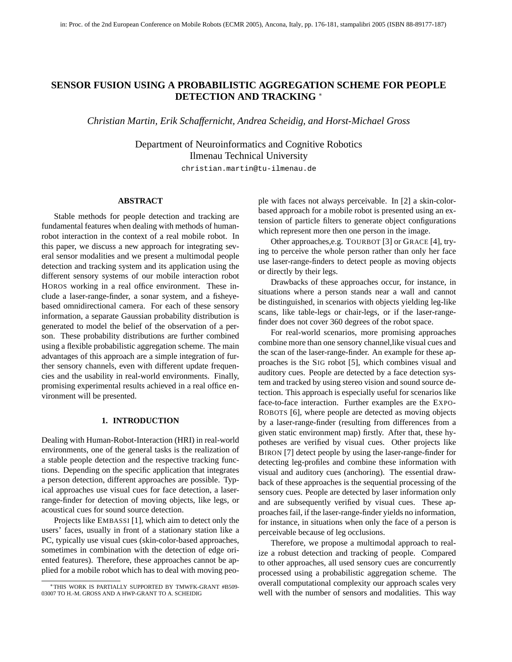# **SENSOR FUSION USING A PROBABILISTIC AGGREGATION SCHEME FOR PEOPLE DETECTION AND TRACKING** <sup>∗</sup>

*Christian Martin, Erik Schaffernicht, Andrea Scheidig, and Horst-Michael Gross*

Department of Neuroinformatics and Cognitive Robotics Ilmenau Technical University

christian.martin@tu-ilmenau.de

#### **ABSTRACT**

Stable methods for people detection and tracking are fundamental features when dealing with methods of humanrobot interaction in the context of a real mobile robot. In this paper, we discuss a new approach for integrating several sensor modalities and we present a multimodal people detection and tracking system and its application using the different sensory systems of our mobile interaction robot HOROS working in a real office environment. These include a laser-range-finder, a sonar system, and a fisheyebased omnidirectional camera. For each of these sensory information, a separate Gaussian probability distribution is generated to model the belief of the observation of a person. These probability distributions are further combined using a flexible probabilistic aggregation scheme. The main advantages of this approach are a simple integration of further sensory channels, even with different update frequencies and the usability in real-world environments. Finally, promising experimental results achieved in a real office environment will be presented.

#### **1. INTRODUCTION**

Dealing with Human-Robot-Interaction (HRI) in real-world environments, one of the general tasks is the realization of a stable people detection and the respective tracking functions. Depending on the specific application that integrates a person detection, different approaches are possible. Typical approaches use visual cues for face detection, a laserrange-finder for detection of moving objects, like legs, or acoustical cues for sound source detection.

Projects like EMBASSI [1], which aim to detect only the users' faces, usually in front of a stationary station like a PC, typically use visual cues (skin-color-based approaches, sometimes in combination with the detection of edge oriented features). Therefore, these approaches cannot be applied for a mobile robot which has to deal with moving people with faces not always perceivable. In [2] a skin-colorbased approach for a mobile robot is presented using an extension of particle filters to generate object configurations which represent more then one person in the image.

Other approaches,e.g. TOURBOT [3] or GRACE [4], trying to perceive the whole person rather than only her face use laser-range-finders to detect people as moving objects or directly by their legs.

Drawbacks of these approaches occur, for instance, in situations where a person stands near a wall and cannot be distinguished, in scenarios with objects yielding leg-like scans, like table-legs or chair-legs, or if the laser-rangefinder does not cover 360 degrees of the robot space.

For real-world scenarios, more promising approaches combine more than one sensory channel,like visual cues and the scan of the laser-range-finder. An example for these approaches is the SIG robot [5], which combines visual and auditory cues. People are detected by a face detection system and tracked by using stereo vision and sound source detection. This approach is especially useful for scenarios like face-to-face interaction. Further examples are the EXPO-ROBOTS [6], where people are detected as moving objects by a laser-range-finder (resulting from differences from a given static environment map) firstly. After that, these hypotheses are verified by visual cues. Other projects like BIRON [7] detect people by using the laser-range-finder for detecting leg-profiles and combine these information with visual and auditory cues (anchoring). The essential drawback of these approaches is the sequential processing of the sensory cues. People are detected by laser information only and are subsequently verified by visual cues. These approaches fail, if the laser-range-finder yields no information, for instance, in situations when only the face of a person is perceivable because of leg occlusions.

Therefore, we propose a multimodal approach to realize a robust detection and tracking of people. Compared to other approaches, all used sensory cues are concurrently processed using a probabilistic aggregation scheme. The overall computational complexity our approach scales very well with the number of sensors and modalities. This way

<sup>∗</sup>THIS WORK IS PARTIALLY SUPPORTED BY TMWFK-GRANT #B509- 03007 TO H.-M. GROSS AND A HWP-GRANT TO A. SCHEIDIG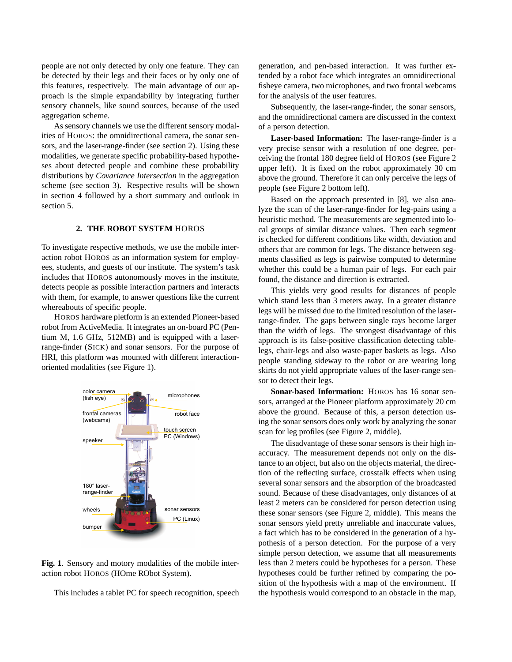people are not only detected by only one feature. They can be detected by their legs and their faces or by only one of this features, respectively. The main advantage of our approach is the simple expandability by integrating further sensory channels, like sound sources, because of the used aggregation scheme.

As sensory channels we use the different sensory modalities of HOROS: the omnidirectional camera, the sonar sensors, and the laser-range-finder (see section 2). Using these modalities, we generate specific probability-based hypotheses about detected people and combine these probability distributions by *Covariance Intersection* in the aggregation scheme (see section 3). Respective results will be shown in section 4 followed by a short summary and outlook in section 5.

### **2. THE ROBOT SYSTEM** HOROS

To investigate respective methods, we use the mobile interaction robot HOROS as an information system for employees, students, and guests of our institute. The system's task includes that HOROS autonomously moves in the institute, detects people as possible interaction partners and interacts with them, for example, to answer questions like the current whereabouts of specific people.

HOROS hardware pletform is an extended Pioneer-based robot from ActiveMedia. It integrates an on-board PC (Pentium M, 1.6 GHz, 512MB) and is equipped with a laserrange-finder (SICK) and sonar sensors. For the purpose of HRI, this platform was mounted with different interactionoriented modalities (see Figure 1).



**Fig. 1**. Sensory and motory modalities of the mobile interaction robot HOROS (HOme RObot System).

This includes a tablet PC for speech recognition, speech

generation, and pen-based interaction. It was further extended by a robot face which integrates an omnidirectional fisheye camera, two microphones, and two frontal webcams for the analysis of the user features.

Subsequently, the laser-range-finder, the sonar sensors, and the omnidirectional camera are discussed in the context of a person detection.

**Laser-based Information:** The laser-range-finder is a very precise sensor with a resolution of one degree, perceiving the frontal 180 degree field of HOROS (see Figure 2 upper left). It is fixed on the robot approximately 30 cm above the ground. Therefore it can only perceive the legs of people (see Figure 2 bottom left).

Based on the approach presented in [8], we also analyze the scan of the laser-range-finder for leg-pairs using a heuristic method. The measurements are segmented into local groups of similar distance values. Then each segment is checked for different conditions like width, deviation and others that are common for legs. The distance between segments classified as legs is pairwise computed to determine whether this could be a human pair of legs. For each pair found, the distance and direction is extracted.

This yields very good results for distances of people which stand less than 3 meters away. In a greater distance legs will be missed due to the limited resolution of the laserrange-finder. The gaps between single rays become larger than the width of legs. The strongest disadvantage of this approach is its false-positive classification detecting tablelegs, chair-legs and also waste-paper baskets as legs. Also people standing sideway to the robot or are wearing long skirts do not yield appropriate values of the laser-range sensor to detect their legs.

**Sonar-based Information:** HOROS has 16 sonar sensors, arranged at the Pioneer platform approximately 20 cm above the ground. Because of this, a person detection using the sonar sensors does only work by analyzing the sonar scan for leg profiles (see Figure 2, middle).

The disadvantage of these sonar sensors is their high inaccuracy. The measurement depends not only on the distance to an object, but also on the objects material, the direction of the reflecting surface, crosstalk effects when using several sonar sensors and the absorption of the broadcasted sound. Because of these disadvantages, only distances of at least 2 meters can be considered for person detection using these sonar sensors (see Figure 2, middle). This means the sonar sensors yield pretty unreliable and inaccurate values, a fact which has to be considered in the generation of a hypothesis of a person detection. For the purpose of a very simple person detection, we assume that all measurements less than 2 meters could be hypotheses for a person. These hypotheses could be further refined by comparing the position of the hypothesis with a map of the environment. If the hypothesis would correspond to an obstacle in the map,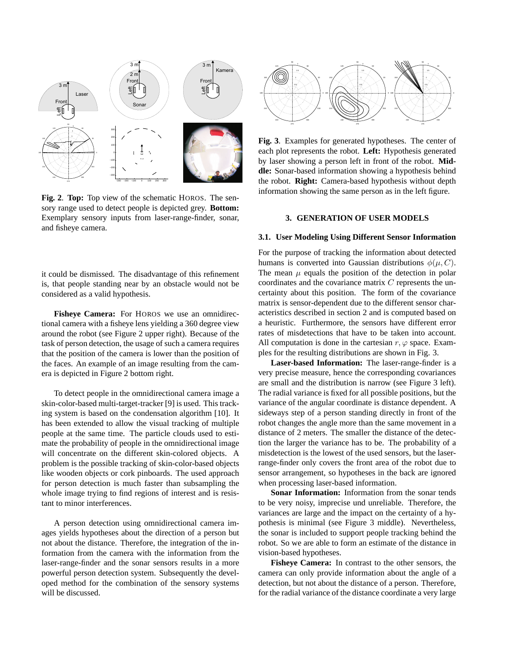

**Fig. 2**. **Top:** Top view of the schematic HOROS. The sensory range used to detect people is depicted grey. **Bottom:** Exemplary sensory inputs from laser-range-finder, sonar, and fisheye camera.

it could be dismissed. The disadvantage of this refinement is, that people standing near by an obstacle would not be considered as a valid hypothesis.

**Fisheye Camera:** For HOROS we use an omnidirectional camera with a fisheye lens yielding a 360 degree view around the robot (see Figure 2 upper right). Because of the task of person detection, the usage of such a camera requires that the position of the camera is lower than the position of the faces. An example of an image resulting from the camera is depicted in Figure 2 bottom right.

To detect people in the omnidirectional camera image a skin-color-based multi-target-tracker [9] is used. This tracking system is based on the condensation algorithm [10]. It has been extended to allow the visual tracking of multiple people at the same time. The particle clouds used to estimate the probability of people in the omnidirectional image will concentrate on the different skin-colored objects. A problem is the possible tracking of skin-color-based objects like wooden objects or cork pinboards. The used approach for person detection is much faster than subsampling the whole image trying to find regions of interest and is resistant to minor interferences.

A person detection using omnidirectional camera images yields hypotheses about the direction of a person but not about the distance. Therefore, the integration of the information from the camera with the information from the laser-range-finder and the sonar sensors results in a more powerful person detection system. Subsequently the developed method for the combination of the sensory systems will be discussed.



**Fig. 3**. Examples for generated hypotheses. The center of each plot represents the robot. **Left:** Hypothesis generated by laser showing a person left in front of the robot. **Middle:** Sonar-based information showing a hypothesis behind the robot. **Right:** Camera-based hypothesis without depth information showing the same person as in the left figure.

#### **3. GENERATION OF USER MODELS**

#### **3.1. User Modeling Using Different Sensor Information**

For the purpose of tracking the information about detected humans is converted into Gaussian distributions  $\phi(\mu, C)$ . The mean  $\mu$  equals the position of the detection in polar coordinates and the covariance matrix C represents the uncertainty about this position. The form of the covariance matrix is sensor-dependent due to the different sensor characteristics described in section 2 and is computed based on a heuristic. Furthermore, the sensors have different error rates of misdetections that have to be taken into account. All computation is done in the cartesian  $r, \varphi$  space. Examples for the resulting distributions are shown in Fig. 3.

**Laser-based Information:** The laser-range-finder is a very precise measure, hence the corresponding covariances are small and the distribution is narrow (see Figure 3 left). The radial variance is fixed for all possible positions, but the variance of the angular coordinate is distance dependent. A sideways step of a person standing directly in front of the robot changes the angle more than the same movement in a distance of 2 meters. The smaller the distance of the detection the larger the variance has to be. The probability of a misdetection is the lowest of the used sensors, but the laserrange-finder only covers the front area of the robot due to sensor arrangement, so hypotheses in the back are ignored when processing laser-based information.

**Sonar Information:** Information from the sonar tends to be very noisy, imprecise und unreliable. Therefore, the variances are large and the impact on the certainty of a hypothesis is minimal (see Figure 3 middle). Nevertheless, the sonar is included to support people tracking behind the robot. So we are able to form an estimate of the distance in vision-based hypotheses.

**Fisheye Camera:** In contrast to the other sensors, the camera can only provide information about the angle of a detection, but not about the distance of a person. Therefore, for the radial variance of the distance coordinate a very large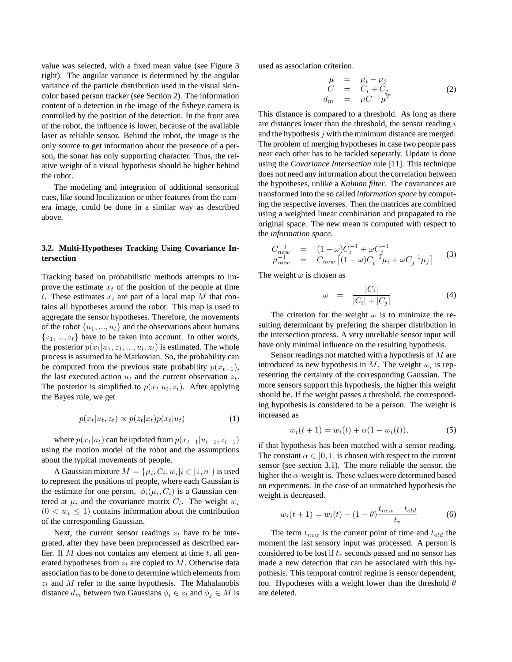value was selected, with a fixed mean value (see Figure 3 right). The angular variance is determined by the angular variance of the particle distribution used in the visual skincolor based person tracker (see Section 2). The information content of a detection in the image of the fisheye camera is controlled by the position of the detection. In the front area of the robot, the influence is lower, because of the available laser as reliable sensor. Behind the robot, the image is the only source to get information about the presence of a person, the sonar has only supporting character. Thus, the relative weight of a visual hypothesis should be higher behind the robot.

The modeling and integration of additional sensorical cues, like sound localization or other features from the camera image, could be done in a similar way as described above.

## **3.2. Multi-Hypotheses Tracking Using Covariance Intersection**

Tracking based on probabilistic methods attempts to improve the estimate  $x_t$  of the position of the people at time t. These estimates  $x_t$  are part of a local map M that contains all hypotheses around the robot. This map is used to aggregate the sensor hypotheses. Therefore, the movements of the robot  $\{u_1, ..., u_t\}$  and the observations about humans  $\{z_1, ..., z_t\}$  have to be taken into account. In other words, the posterior  $p(x_t|u_1, z_1, \ldots, u_t, z_t)$  is estimated. The whole process is assumed to be Markovian. So, the probability can be computed from the previous state probability  $p(x_{t-1})$ , the last executed action  $u_t$  and the current observation  $z_t$ . The posterior is simplified to  $p(x_t|u_t, z_t)$ . After applying the Bayes rule, we get

$$
p(x_t|u_t, z_t) \propto p(z_t|x_t)p(x_t|u_t)
$$
 (1)

where  $p(x_t|u_t)$  can be updated from  $p(x_{t-1}|u_{t-1}, z_{t-1})$ using the motion model of the robot and the assumptions about the typical movements of people.

A Gaussian mixture  $M = \{\mu_i, C_i, w_i | i \in [1, n]\}$  is used to represent the positions of people, where each Gaussian is the estimate for one person.  $\phi_i(\mu_i, C_i)$  is a Gaussian centered at  $\mu_i$  and the covariance matrix  $C_i$ . The weight  $w_i$  $(0 < w_i \leq 1)$  contains information about the contribution of the corresponding Gaussian.

Next, the current sensor readings  $z_t$  have to be integrated, after they have been preprocessed as described earlier. If M does not contains any element at time  $t$ , all generated hypotheses from  $z_t$  are copied to M. Otherwise data association has to be done to determine which elements from  $z_t$  and M refer to the same hypothesis. The Mahalanobis distance  $d_m$  between two Gaussians  $\phi_i \in z_t$  and  $\phi_j \in M$  is

used as association criterion.

$$
\begin{array}{rcl}\n\mu & = & \mu_i - \mu_j \\
C & = & C_i + C_j \\
d_m & = & \mu C^{-1} \mu^T\n\end{array} \tag{2}
$$

This distance is compared to a threshold. As long as there are distances lower than the threshold, the sensor reading i and the hypothesis  $j$  with the minimum distance are merged. The problem of merging hypotheses in case two people pass near each other has to be tackled seperatly. Update is done using the *Covariance Intersection* rule [11]. This technique does not need any information about the correlation between the hypotheses, unlike a *Kalman filter*. The covariances are transformed into the so called *information space* by computing the respective inverses. Then the matrices are combined using a weighted linear combination and propagated to the original space. The new mean is computed with respect to the *information space*.

$$
C_{new}^{-1} = (1 - \omega)C_i^{-1} + \omega C_j^{-1}
$$
  
\n
$$
\mu_{new}^{-1} = C_{new} [(1 - \omega)C_i^{-1} \mu_i + \omega C_j^{-1} \mu_j]
$$
 (3)

The weight  $\omega$  is chosen as

$$
\omega = \frac{|C_i|}{|C_i| + |C_j|} \tag{4}
$$

The criterion for the weight  $\omega$  is to minimize the resulting determinant by prefering the sharper distribution in the intersection process. A very unreliable sensor input will have only minimal influence on the resulting hypothesis.

Sensor readings not matched with a hypothesis of M are introduced as new hypothesis in  $M$ . The weight  $w_i$  is representing the certainty of the corresponding Gaussian. The more sensors support this hypothesis, the higher this weight should be. If the weight passes a threshold, the corresponding hypothesis is considered to be a person. The weight is increased as

$$
w_i(t+1) = w_i(t) + \alpha(1 - w_i(t)),
$$
\n(5)

if that hypothesis has been matched with a sensor reading. The constant  $\alpha \in [0, 1]$  is chosen with respect to the current sensor (see section 3.1). The more reliable the sensor, the higher the  $\alpha$ -weight is. These values were determined based on experiments. In the case of an unmatched hypothesis the weight is decreased.

$$
w_i(t+1) = w_i(t) - (1 - \theta) \frac{t_{new} - t_{old}}{t_v}
$$
 (6)

The term  $t_{new}$  is the current point of time and  $t_{old}$  the moment the last sensory input was processed. A person is considered to be lost if  $t<sub>v</sub>$  seconds passed and no sensor has made a new detection that can be associated with this hypothesis. This temporal control regime is sensor dependent, too. Hypotheses with a weight lower than the threshold  $\theta$ are deleted.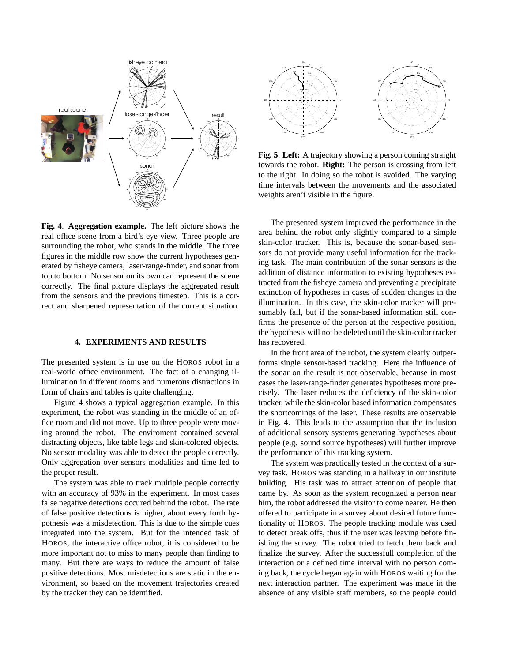

**Fig. 4**. **Aggregation example.** The left picture shows the real office scene from a bird's eye view. Three people are surrounding the robot, who stands in the middle. The three figures in the middle row show the current hypotheses generated by fisheye camera, laser-range-finder, and sonar from top to bottom. No sensor on its own can represent the scene correctly. The final picture displays the aggregated result from the sensors and the previous timestep. This is a correct and sharpened representation of the current situation.

#### **4. EXPERIMENTS AND RESULTS**

The presented system is in use on the HOROS robot in a real-world office environment. The fact of a changing illumination in different rooms and numerous distractions in form of chairs and tables is quite challenging.

Figure 4 shows a typical aggregation example. In this experiment, the robot was standing in the middle of an office room and did not move. Up to three people were moving around the robot. The enviroment contained several distracting objects, like table legs and skin-colored objects. No sensor modality was able to detect the people correctly. Only aggregation over sensors modalities and time led to the proper result.

The system was able to track multiple people correctly with an accuracy of 93% in the experiment. In most cases false negative detections occured behind the robot. The rate of false positive detections is higher, about every forth hypothesis was a misdetection. This is due to the simple cues integrated into the system. But for the intended task of HOROS, the interactive office robot, it is considered to be more important not to miss to many people than finding to many. But there are ways to reduce the amount of false positive detections. Most misdetections are static in the environment, so based on the movement trajectories created by the tracker they can be identified.



**Fig. 5**. **Left:** A trajectory showing a person coming straight towards the robot. **Right:** The person is crossing from left to the right. In doing so the robot is avoided. The varying time intervals between the movements and the associated weights aren't visible in the figure.

The presented system improved the performance in the area behind the robot only slightly compared to a simple skin-color tracker. This is, because the sonar-based sensors do not provide many useful information for the tracking task. The main contribution of the sonar sensors is the addition of distance information to existing hypotheses extracted from the fisheye camera and preventing a precipitate extinction of hypotheses in cases of sudden changes in the illumination. In this case, the skin-color tracker will presumably fail, but if the sonar-based information still confirms the presence of the person at the respective position, the hypothesis will not be deleted until the skin-color tracker has recovered.

In the front area of the robot, the system clearly outperforms single sensor-based tracking. Here the influence of the sonar on the result is not observable, because in most cases the laser-range-finder generates hypotheses more precisely. The laser reduces the deficiency of the skin-color tracker, while the skin-color based information compensates the shortcomings of the laser. These results are observable in Fig. 4. This leads to the assumption that the inclusion of additional sensory systems generating hypotheses about people (e.g. sound source hypotheses) will further improve the performance of this tracking system.

The system was practically tested in the context of a survey task. HOROS was standing in a hallway in our institute building. His task was to attract attention of people that came by. As soon as the system recognized a person near him, the robot addressed the visitor to come nearer. He then offered to participate in a survey about desired future functionality of HOROS. The people tracking module was used to detect break offs, thus if the user was leaving before finishing the survey. The robot tried to fetch them back and finalize the survey. After the successfull completion of the interaction or a defined time interval with no person coming back, the cycle began again with HOROS waiting for the next interaction partner. The experiment was made in the absence of any visible staff members, so the people could